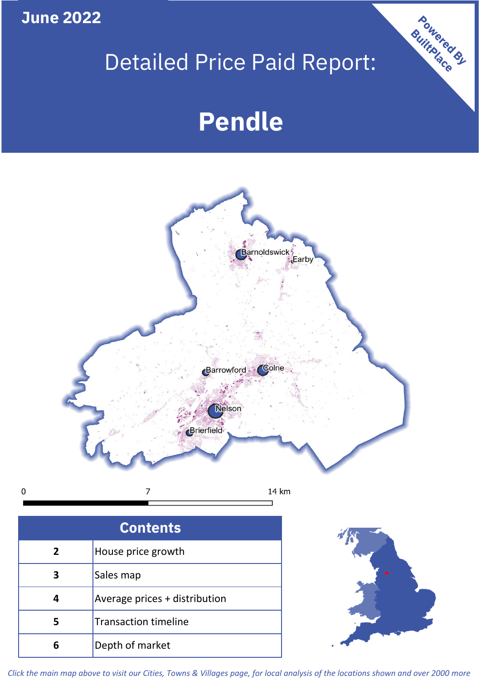**June 2022**

**5**

**4**

**3**

Sales map

**6** Depth of market

Average prices + distribution

Transaction timeline

# Detailed Price Paid Report:

Powered By

# **Pendle**



*Click the main map above to visit our Cities, Towns & Villages page, for local analysis of the locations shown and over 2000 more*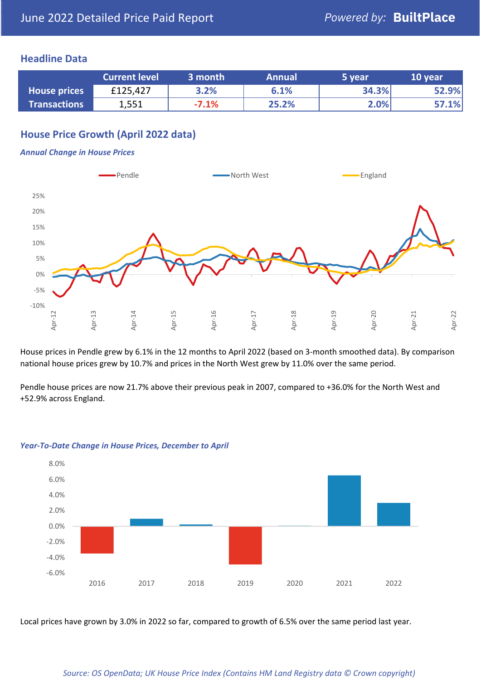## **Headline Data**

|                     | <b>Current level</b> | 3 month | <b>Annual</b> | 5 year | 10 year |
|---------------------|----------------------|---------|---------------|--------|---------|
| <b>House prices</b> | £125,427             | 3.2%    | 6.1%          | 34.3%  | 52.9%   |
| <b>Transactions</b> | 1,551                | $-7.1%$ | 25.2%         | 2.0%   | 57.1%   |

# **House Price Growth (April 2022 data)**

### *Annual Change in House Prices*



House prices in Pendle grew by 6.1% in the 12 months to April 2022 (based on 3-month smoothed data). By comparison national house prices grew by 10.7% and prices in the North West grew by 11.0% over the same period.

Pendle house prices are now 21.7% above their previous peak in 2007, compared to +36.0% for the North West and +52.9% across England.



#### *Year-To-Date Change in House Prices, December to April*

Local prices have grown by 3.0% in 2022 so far, compared to growth of 6.5% over the same period last year.

#### *Source: OS OpenData; UK House Price Index (Contains HM Land Registry data © Crown copyright)*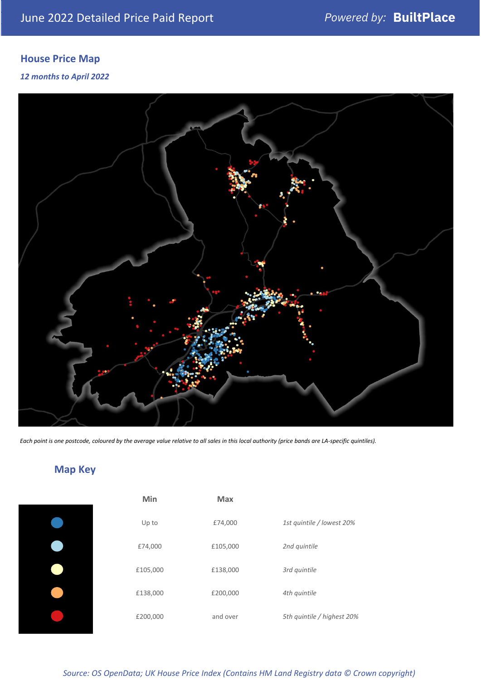# **House Price Map**

## *12 months to April 2022*



*Each point is one postcode, coloured by the average value relative to all sales in this local authority (price bands are LA-specific quintiles).*

# **Map Key**

| Min      | <b>Max</b> |                            |
|----------|------------|----------------------------|
| Up to    | £74,000    | 1st quintile / lowest 20%  |
| £74,000  | £105,000   | 2nd quintile               |
| £105,000 | £138,000   | 3rd quintile               |
| £138,000 | £200,000   | 4th quintile               |
| £200,000 | and over   | 5th quintile / highest 20% |

## *Source: OS OpenData; UK House Price Index (Contains HM Land Registry data © Crown copyright)*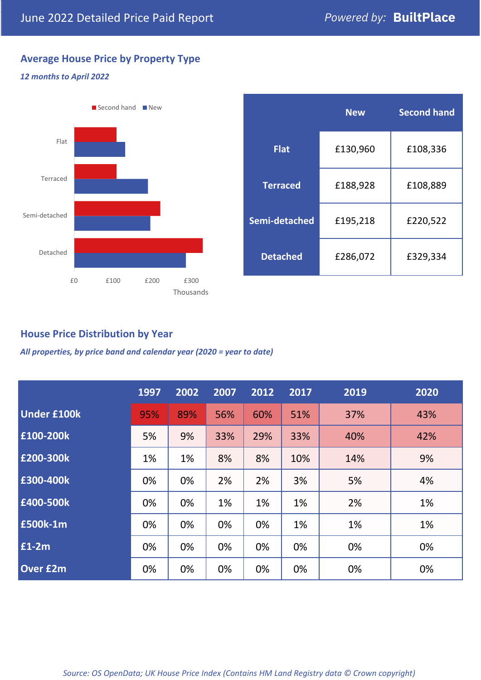# **Average House Price by Property Type**

## *12 months to April 2022*



|                 | <b>New</b> | <b>Second hand</b> |  |  |
|-----------------|------------|--------------------|--|--|
| <b>Flat</b>     | £130,960   | £108,336           |  |  |
| <b>Terraced</b> | £188,928   | £108,889           |  |  |
| Semi-detached   | £195,218   | £220,522           |  |  |
| <b>Detached</b> | £286,072   | £329,334           |  |  |

## **House Price Distribution by Year**

*All properties, by price band and calendar year (2020 = year to date)*

|                    | 1997 | 2002 | 2007 | 2012 | 2017 | 2019 | 2020 |
|--------------------|------|------|------|------|------|------|------|
| <b>Under £100k</b> | 95%  | 89%  | 56%  | 60%  | 51%  | 37%  | 43%  |
| £100-200k          | 5%   | 9%   | 33%  | 29%  | 33%  | 40%  | 42%  |
| £200-300k          | 1%   | 1%   | 8%   | 8%   | 10%  | 14%  | 9%   |
| £300-400k          | 0%   | 0%   | 2%   | 2%   | 3%   | 5%   | 4%   |
| £400-500k          | 0%   | 0%   | 1%   | 1%   | 1%   | 2%   | 1%   |
| <b>£500k-1m</b>    | 0%   | 0%   | 0%   | 0%   | 1%   | 1%   | 1%   |
| £1-2m              | 0%   | 0%   | 0%   | 0%   | 0%   | 0%   | 0%   |
| <b>Over £2m</b>    | 0%   | 0%   | 0%   | 0%   | 0%   | 0%   | 0%   |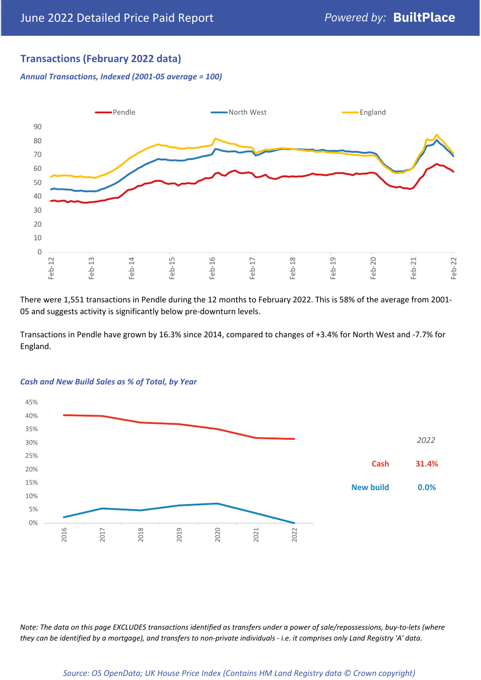# **Transactions (February 2022 data)**

*Annual Transactions, Indexed (2001-05 average = 100)*



There were 1,551 transactions in Pendle during the 12 months to February 2022. This is 58% of the average from 2001- 05 and suggests activity is significantly below pre-downturn levels.

Transactions in Pendle have grown by 16.3% since 2014, compared to changes of +3.4% for North West and -7.7% for England.



#### *Cash and New Build Sales as % of Total, by Year*

*Note: The data on this page EXCLUDES transactions identified as transfers under a power of sale/repossessions, buy-to-lets (where they can be identified by a mortgage), and transfers to non-private individuals - i.e. it comprises only Land Registry 'A' data.*